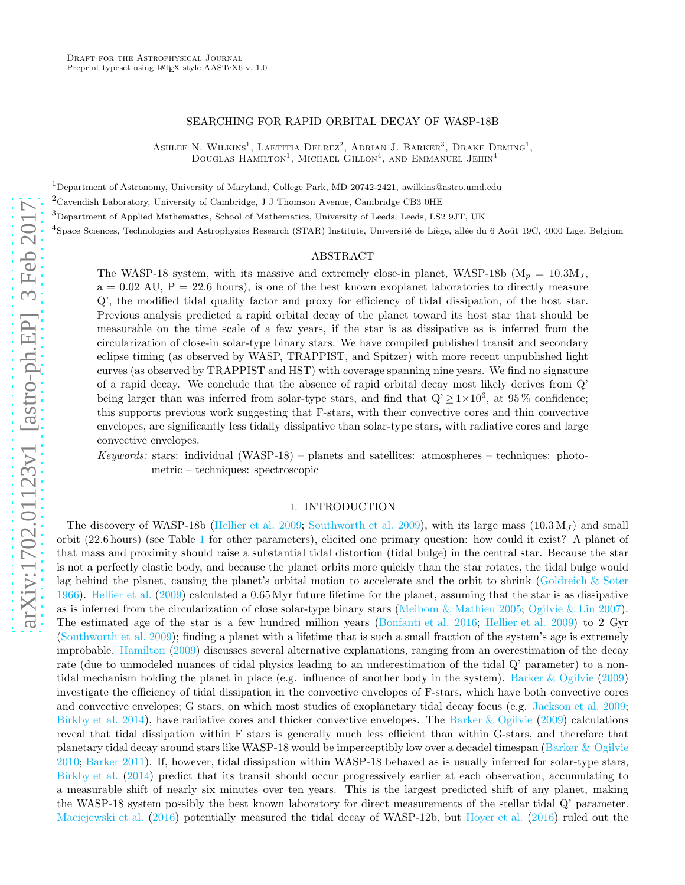### SEARCHING FOR RAPID ORBITAL DECAY OF WASP-18B

ASHLEE N. WILKINS<sup>1</sup>, LAETITIA DELREZ<sup>2</sup>, ADRIAN J. BARKER<sup>3</sup>, DRAKE DEMING<sup>1</sup>, DOUGLAS  $\text{HAMILTON}^1$ , MICHAEL  $\text{GILLON}^4$ , AND EMMANUEL JEHIN<sup>4</sup>

 $1$ Department of Astronomy, University of Maryland, College Park, MD 20742-2421, awilkins@astro.umd.edu

 $^{2}$ Cavendish Laboratory, University of Cambridge, J J Thomson Avenue, Cambridge CB3 0HE

<sup>3</sup>Department of Applied Mathematics, School of Mathematics, University of Leeds, Leeds, LS2 9JT, UK

 $^4$ Space Sciences, Technologies and Astrophysics Research (STAR) Institute, Université de Liège, allée du 6 Août 19C, 4000 Lige, Belgium

### ABSTRACT

The WASP-18 system, with its massive and extremely close-in planet, WASP-18b ( $M_p = 10.3 M_J$ ,  $a = 0.02$  AU,  $P = 22.6$  hours), is one of the best known exoplanet laboratories to directly measure Q', the modified tidal quality factor and proxy for efficiency of tidal dissipation, of the host star. Previous analysis predicted a rapid orbital decay of the planet toward its host star that should be measurable on the time scale of a few years, if the star is as dissipative as is inferred from the circularization of close-in solar-type binary stars. We have compiled published transit and secondary eclipse timing (as observed by WASP, TRAPPIST, and Spitzer) with more recent unpublished light curves (as observed by TRAPPIST and HST) with coverage spanning nine years. We find no signature of a rapid decay. We conclude that the absence of rapid orbital decay most likely derives from Q' being larger than was inferred from solar-type stars, and find that  $Q' \ge 1 \times 10^6$ , at 95 % confidence; this supports previous work suggesting that F-stars, with their convective cores and thin convective envelopes, are significantly less tidally dissipative than solar-type stars, with radiative cores and large convective envelopes.

*Keywords:* stars: individual (WASP-18) – planets and satellites: atmospheres – techniques: photometric – techniques: spectroscopic

#### 1. INTRODUCTION

The discovery of WASP-18b [\(Hellier et al. 2009;](#page-5-0) [Southworth et al. 2009\)](#page-6-0), with its large mass  $(10.3 M_J)$  and small orbit (22.6 hours) (see Table [1](#page-7-0) for other parameters), elicited one primary question: how could it exist? A planet of that mass and proximity should raise a substantial tidal distortion (tidal bulge) in the central star. Because the star is not a perfectly elastic body, and because the planet orbits more quickly than the star rotates, the tidal bulge would lag behind the planet, causing the planet's orbital motion to accelerate and the orbit to shrink [\(Goldreich & Soter](#page-5-1) [1966\)](#page-5-1). [Hellier et al.](#page-5-0) [\(2009\)](#page-5-0) calculated a 0.65Myr future lifetime for the planet, assuming that the star is as dissipative as is inferred from the circularization of close solar-type binary stars [\(Meibom & Mathieu 2005](#page-5-2); [Ogilvie & Lin 2007](#page-6-1)). The estimated age of the star is a few hundred million years [\(Bonfanti et al. 2016;](#page-5-3) [Hellier et al. 2009\)](#page-5-0) to 2 Gyr [\(Southworth et al. 2009\)](#page-6-0); finding a planet with a lifetime that is such a small fraction of the system's age is extremely improbable. [Hamilton](#page-5-4) [\(2009](#page-5-4)) discusses several alternative explanations, ranging from an overestimation of the decay rate (due to unmodeled nuances of tidal physics leading to an underestimation of the tidal Q' parameter) to a nontidal mechanism holding the planet in place (e.g. influence of another body in the system). [Barker & Ogilvie](#page-5-5) [\(2009](#page-5-5)) investigate the efficiency of tidal dissipation in the convective envelopes of F-stars, which have both convective cores and convective envelopes; G stars, on which most studies of exoplanetary tidal decay focus (e.g. [Jackson et al. 2009](#page-5-6); [Birkby et al. 2014](#page-5-7)), have radiative cores and thicker convective envelopes. The [Barker & Ogilvie](#page-5-5) [\(2009\)](#page-5-5) calculations reveal that tidal dissipation within F stars is generally much less efficient than within G-stars, and therefore that planetary tidal decay around stars like WASP-18 would be imperceptibly low over a decadel timespan [\(Barker & Ogilvie](#page-5-8) [2010;](#page-5-8) [Barker 2011\)](#page-5-9). If, however, tidal dissipation within WASP-18 behaved as is usually inferred for solar-type stars, [Birkby et al.](#page-5-7) [\(2014\)](#page-5-7) predict that its transit should occur progressively earlier at each observation, accumulating to a measurable shift of nearly six minutes over ten years. This is the largest predicted shift of any planet, making the WASP-18 system possibly the best known laboratory for direct measurements of the stellar tidal Q' parameter. [Maciejewski et al.](#page-5-10) [\(2016\)](#page-5-11) potentially measured the tidal decay of WASP-12b, but [Hoyer et al.](#page-5-11) (2016) ruled out the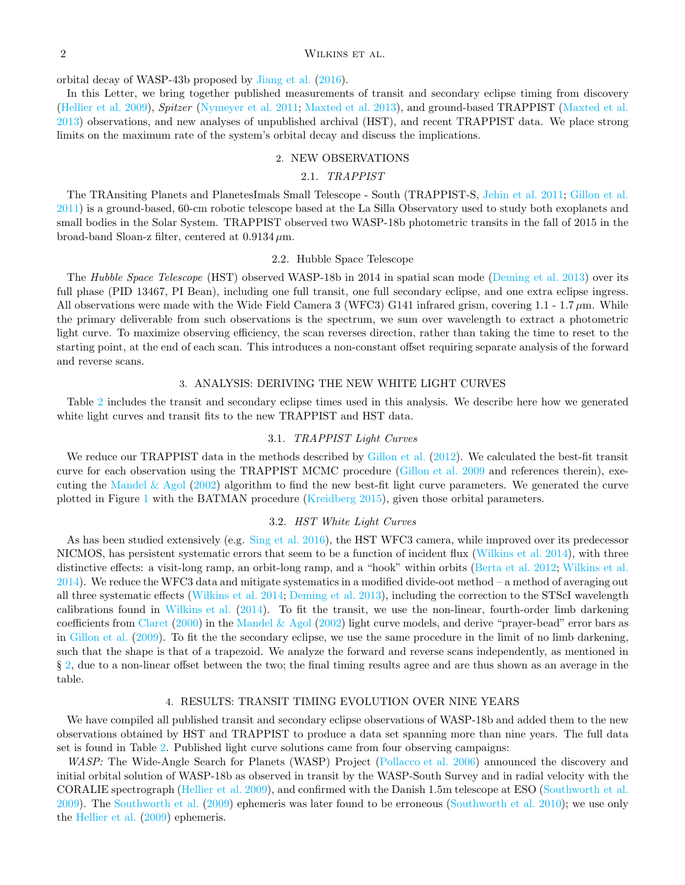## 2 WILKINS ET AL.

orbital decay of WASP-43b proposed by [Jiang et al.](#page-5-12) [\(2016](#page-5-12)).

<span id="page-1-0"></span>In this Letter, we bring together published measurements of transit and secondary eclipse timing from discovery [\(Hellier et al. 2009\)](#page-5-0), *Spitzer* [\(Nymeyer et al. 2011;](#page-6-2) [Maxted et al. 2013](#page-5-13)), and ground-based TRAPPIST [\(Maxted et al.](#page-5-13) [2013\)](#page-5-13) observations, and new analyses of unpublished archival (HST), and recent TRAPPIST data. We place strong limits on the maximum rate of the system's orbital decay and discuss the implications.

### 2. NEW OBSERVATIONS

# 2.1. *TRAPPIST*

The TRAnsiting Planets and PlanetesImals Small Telescope - South (TRAPPIST-S, [Jehin et al. 2011;](#page-5-14) [Gillon et al.](#page-5-15) [2011\)](#page-5-15) is a ground-based, 60-cm robotic telescope based at the La Silla Observatory used to study both exoplanets and small bodies in the Solar System. TRAPPIST observed two WASP-18b photometric transits in the fall of 2015 in the broad-band Sloan-z filter, centered at  $0.9134 \,\mu$ m.

## 2.2. Hubble Space Telescope

The *Hubble Space Telescope* (HST) observed WASP-18b in 2014 in spatial scan mode [\(Deming et al. 2013\)](#page-5-16) over its full phase (PID 13467, PI Bean), including one full transit, one full secondary eclipse, and one extra eclipse ingress. All observations were made with the Wide Field Camera 3 (WFC3) G141 infrared grism, covering 1.1 - 1.7  $\mu$ m. While the primary deliverable from such observations is the spectrum, we sum over wavelength to extract a photometric light curve. To maximize observing efficiency, the scan reverses direction, rather than taking the time to reset to the starting point, at the end of each scan. This introduces a non-constant offset requiring separate analysis of the forward and reverse scans.

### 3. ANALYSIS: DERIVING THE NEW WHITE LIGHT CURVES

Table [2](#page-7-1) includes the transit and secondary eclipse times used in this analysis. We describe here how we generated white light curves and transit fits to the new TRAPPIST and HST data.

## 3.1. *TRAPPIST Light Curves*

We reduce our TRAPPIST data in the methods described by [Gillon et al.](#page-5-17) [\(2012\)](#page-5-17). We calculated the best-fit transit curve for each observation using the TRAPPIST MCMC procedure [\(Gillon et al. 2009](#page-5-18) and references therein), exe-cuting the [Mandel & Agol](#page-5-19) [\(2002](#page-5-19)) algorithm to find the new best-fit light curve parameters. We generated the curve plotted in Figure [1](#page-2-0) with the BATMAN procedure [\(Kreidberg 2015\)](#page-5-20), given those orbital parameters.

## 3.2. *HST White Light Curves*

As has been studied extensively (e.g. [Sing et al. 2016\)](#page-6-3), the HST WFC3 camera, while improved over its predecessor NICMOS, has persistent systematic errors that seem to be a function of incident flux [\(Wilkins et al. 2014\)](#page-6-4), with three distinctive effects: a visit-long ramp, an orbit-long ramp, and a "hook" within orbits [\(Berta et al. 2012;](#page-5-21) [Wilkins et al.](#page-6-4) [2014\)](#page-6-4). We reduce the WFC3 data and mitigate systematics in a modified divide-oot method – a method of averaging out all three systematic effects [\(Wilkins et al. 2014](#page-6-4); [Deming et al. 2013\)](#page-5-16), including the correction to the STScI wavelength calibrations found in [Wilkins et al.](#page-6-4) [\(2014\)](#page-6-4). To fit the transit, we use the non-linear, fourth-order limb darkening coefficients from [Claret](#page-5-22) [\(2000](#page-5-22)) in the [Mandel & Agol](#page-5-19) [\(2002](#page-5-19)) light curve models, and derive "prayer-bead" error bars as in [Gillon et al.](#page-5-18) [\(2009\)](#page-5-18). To fit the the secondary eclipse, we use the same procedure in the limit of no limb darkening, such that the shape is that of a trapezoid. We analyze the forward and reverse scans independently, as mentioned in § [2,](#page-1-0) due to a non-linear offset between the two; the final timing results agree and are thus shown as an average in the table.

### 4. RESULTS: TRANSIT TIMING EVOLUTION OVER NINE YEARS

<span id="page-1-1"></span>We have compiled all published transit and secondary eclipse observations of WASP-18b and added them to the new observations obtained by HST and TRAPPIST to produce a data set spanning more than nine years. The full data set is found in Table [2.](#page-7-1) Published light curve solutions came from four observing campaigns:

*WASP:* The Wide-Angle Search for Planets (WASP) Project [\(Pollacco et al. 2006](#page-6-5)) announced the discovery and initial orbital solution of WASP-18b as observed in transit by the WASP-South Survey and in radial velocity with the CORALIE spectrograph [\(Hellier et al. 2009\)](#page-5-0), and confirmed with the Danish 1.5m telescope at ESO [\(Southworth et al.](#page-6-0) [2009\)](#page-6-0). The [Southworth et al.](#page-6-0) [\(2009\)](#page-6-0) ephemeris was later found to be erroneous [\(Southworth et al. 2010\)](#page-6-6); we use only the [Hellier et al.](#page-5-0) [\(2009](#page-5-0)) ephemeris.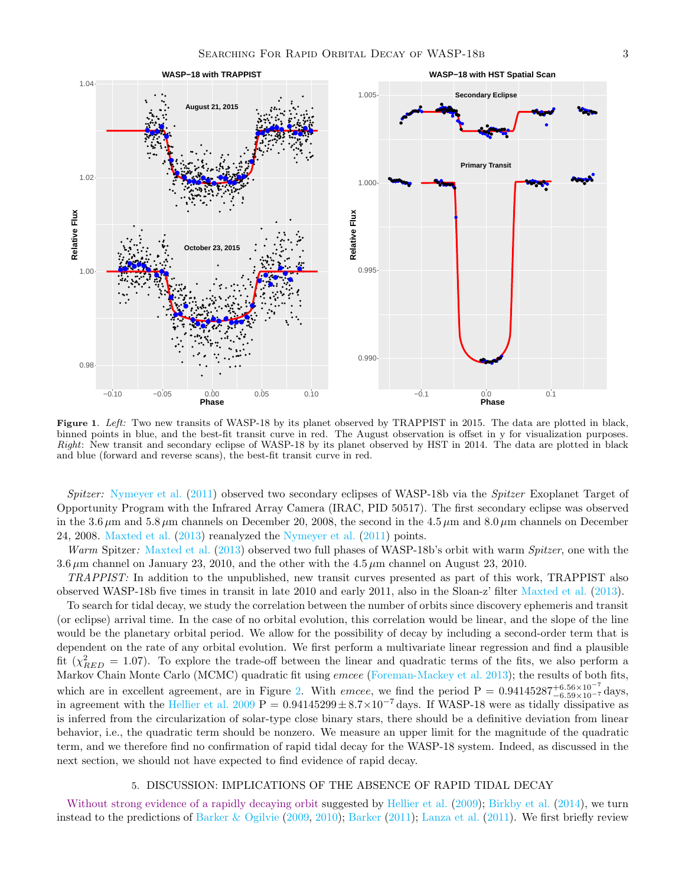

<span id="page-2-0"></span>Figure 1. Left: Two new transits of WASP-18 by its planet observed by TRAPPIST in 2015. The data are plotted in black, binned points in blue, and the best-fit transit curve in red. The August observation is offset in y for visualization purposes. Right: New transit and secondary eclipse of WASP-18 by its planet observed by HST in 2014. The data are plotted in black and blue (forward and reverse scans), the best-fit transit curve in red.

*Spitzer:* [Nymeyer et al.](#page-6-2) [\(2011\)](#page-6-2) observed two secondary eclipses of WASP-18b via the *Spitzer* Exoplanet Target of Opportunity Program with the Infrared Array Camera (IRAC, PID 50517). The first secondary eclipse was observed in the 3.6  $\mu$ m and 5.8  $\mu$ m channels on December 20, 2008, the second in the 4.5  $\mu$ m and 8.0  $\mu$ m channels on December 24, 2008. [Maxted et al.](#page-5-13)  $(2013)$  reanalyzed the [Nymeyer et al.](#page-6-2)  $(2011)$  $(2011)$  points.

*Warm* Spitzer*:* [Maxted et al.](#page-5-13) [\(2013](#page-5-13)) observed two full phases of WASP-18b's orbit with warm *Spitzer*, one with the 3.6  $\mu$ m channel on January 23, 2010, and the other with the 4.5  $\mu$ m channel on August 23, 2010.

*TRAPPIST:* In addition to the unpublished, new transit curves presented as part of this work, TRAPPIST also observed WASP-18b five times in transit in late 2010 and early 2011, also in the Sloan-z' filter [Maxted et al.](#page-5-13) [\(2013\)](#page-5-13).

To search for tidal decay, we study the correlation between the number of orbits since discovery ephemeris and transit (or eclipse) arrival time. In the case of no orbital evolution, this correlation would be linear, and the slope of the line would be the planetary orbital period. We allow for the possibility of decay by including a second-order term that is dependent on the rate of any orbital evolution. We first perform a multivariate linear regression and find a plausible fit  $(\chi^2_{RED} = 1.07)$ . To explore the trade-off between the linear and quadratic terms of the fits, we also perform a Markov Chain Monte Carlo (MCMC) quadratic fit using *emcee* [\(Foreman-Mackey et al. 2013](#page-5-23)); the results of both fits, which are in excellent agreement, are in Figure [2.](#page-3-0) With *emcee*, we find the period  $P = 0.94145287^{+6.56 \times 10^{-7}}_{-6.59 \times 10^{-7}}$  days, in agreement with the [Hellier et al. 2009](#page-5-0) P =  $0.94145299 \pm 8.7 \times 10^{-7}$  days. If WASP-18 were as tidally dissipative as is inferred from the circularization of solar-type close binary stars, there should be a definitive deviation from linear behavior, i.e., the quadratic term should be nonzero. We measure an upper limit for the magnitude of the quadratic term, and we therefore find no confirmation of rapid tidal decay for the WASP-18 system. Indeed, as discussed in the next section, we should not have expected to find evidence of rapid decay.

### 5. DISCUSSION: IMPLICATIONS OF THE ABSENCE OF RAPID TIDAL DECAY

Without strong evidence of a rapidly decaying orbit suggested by [Hellier et al.](#page-5-0) [\(2009](#page-5-0)); [Birkby et al.](#page-5-7) [\(2014\)](#page-5-7), we turn instead to the predictions of [Barker & Ogilvie](#page-5-5) [\(2009](#page-5-5), [2010\)](#page-5-8); [Barker](#page-5-9) [\(2011\)](#page-5-9); [Lanza et al.](#page-5-24) [\(2011\)](#page-5-24). We first briefly review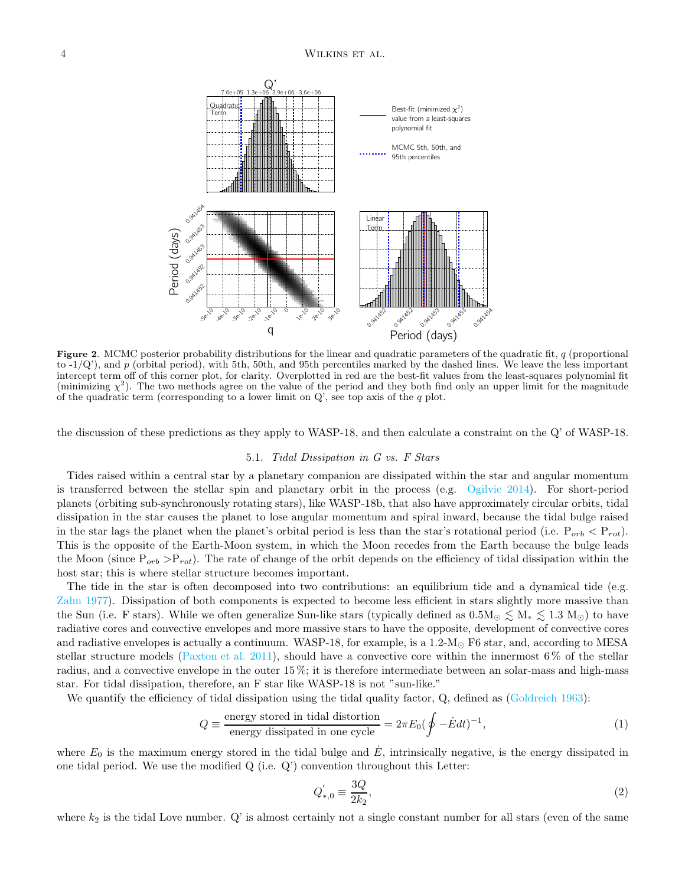

<span id="page-3-0"></span>Figure 2. MCMC posterior probability distributions for the linear and quadratic parameters of the quadratic fit,  $q$  (proportional to  $-1/Q'$ ), and p (orbital period), with 5th, 50th, and 95th percentiles marked by the dashed lines. We leave the less important intercept term off of this corner plot, for clarity. Overplotted in red are the best-fit values from the least-squares polynomial fit (minimizing  $\chi^2$ ). The two methods agree on the value of the period and they both find only an upper limit for the magnitude of the quadratic term (corresponding to a lower limit on  $Q'$ , see top axis of the q plot.

the discussion of these predictions as they apply to WASP-18, and then calculate a constraint on the Q' of WASP-18.

### 5.1. *Tidal Dissipation in G vs. F Stars*

Tides raised within a central star by a planetary companion are dissipated within the star and angular momentum is transferred between the stellar spin and planetary orbit in the process (e.g. [Ogilvie 2014\)](#page-6-7). For short-period planets (orbiting sub-synchronously rotating stars), like WASP-18b, that also have approximately circular orbits, tidal dissipation in the star causes the planet to lose angular momentum and spiral inward, because the tidal bulge raised in the star lags the planet when the planet's orbital period is less than the star's rotational period (i.e.  $P_{orb} < P_{rot}$ ). This is the opposite of the Earth-Moon system, in which the Moon recedes from the Earth because the bulge leads the Moon (since  $P_{orb} > P_{rot}$ ). The rate of change of the orbit depends on the efficiency of tidal dissipation within the host star; this is where stellar structure becomes important.

The tide in the star is often decomposed into two contributions: an equilibrium tide and a dynamical tide (e.g. [Zahn 1977\)](#page-6-8). Dissipation of both components is expected to become less efficient in stars slightly more massive than the Sun (i.e. F stars). While we often generalize Sun-like stars (typically defined as  $0.5M_{\odot} \lesssim M_* \lesssim 1.3 M_{\odot}$ ) to have radiative cores and convective envelopes and more massive stars to have the opposite, development of convective cores and radiative envelopes is actually a continuum. WASP-18, for example, is a 1.2- $M_{\odot}$  F6 star, and, according to MESA stellar structure models [\(Paxton et al. 2011\)](#page-6-9), should have a convective core within the innermost  $6\%$  of the stellar radius, and a convective envelope in the outer 15 %; it is therefore intermediate between an solar-mass and high-mass star. For tidal dissipation, therefore, an F star like WASP-18 is not "sun-like."

We quantify the efficiency of tidal dissipation using the tidal quality factor, Q, defined as [\(Goldreich 1963\)](#page-5-25):

$$
Q \equiv \frac{\text{energy stored in tidal distortion}}{\text{energy dissipated in one cycle}} = 2\pi E_0 (\oint - \dot{E} dt)^{-1}, \tag{1}
$$

where  $E_0$  is the maximum energy stored in the tidal bulge and  $\dot{E}$ , intrinsically negative, is the energy dissipated in one tidal period. We use the modified  $Q$  (i.e.  $Q'$ ) convention throughout this Letter:

$$
Q_{*,0}^{'} \equiv \frac{3Q}{2k_2},\tag{2}
$$

where  $k_2$  is the tidal Love number.  $Q'$  is almost certainly not a single constant number for all stars (even of the same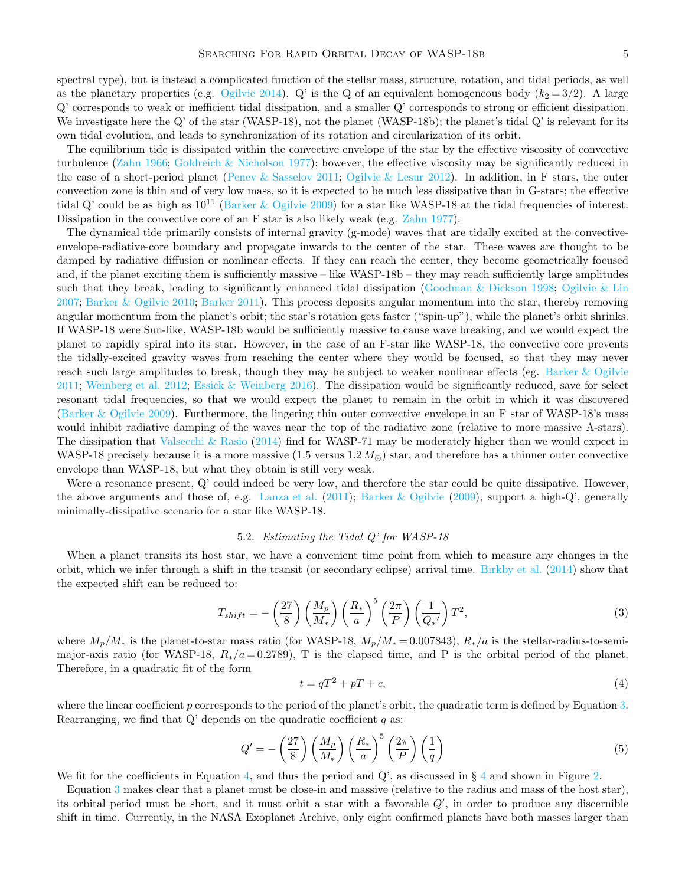spectral type), but is instead a complicated function of the stellar mass, structure, rotation, and tidal periods, as well as the planetary properties (e.g. [Ogilvie 2014\)](#page-6-7). Q' is the Q of an equivalent homogeneous body  $(k_2 = 3/2)$ . A large Q' corresponds to weak or inefficient tidal dissipation, and a smaller Q' corresponds to strong or efficient dissipation. We investigate here the Q' of the star (WASP-18), not the planet (WASP-18b); the planet's tidal Q' is relevant for its own tidal evolution, and leads to synchronization of its rotation and circularization of its orbit.

The equilibrium tide is dissipated within the convective envelope of the star by the effective viscosity of convective turbulence [\(Zahn 1966;](#page-6-10) [Goldreich & Nicholson 1977\)](#page-5-26); however, the effective viscosity may be significantly reduced in the case of a short-period planet [\(Penev & Sasselov 2011](#page-6-11); [Ogilvie & Lesur 2012\)](#page-6-12). In addition, in F stars, the outer convection zone is thin and of very low mass, so it is expected to be much less dissipative than in G-stars; the effective tidal Q' could be as high as  $10^{11}$  [\(Barker & Ogilvie 2009\)](#page-5-5) for a star like WASP-18 at the tidal frequencies of interest. Dissipation in the convective core of an F star is also likely weak (e.g. [Zahn 1977](#page-6-8)).

The dynamical tide primarily consists of internal gravity (g-mode) waves that are tidally excited at the convectiveenvelope-radiative-core boundary and propagate inwards to the center of the star. These waves are thought to be damped by radiative diffusion or nonlinear effects. If they can reach the center, they become geometrically focused and, if the planet exciting them is sufficiently massive – like WASP-18b – they may reach sufficiently large amplitudes such that they break, leading to significantly enhanced tidal dissipation [\(Goodman & Dickson 1998](#page-5-27); [Ogilvie & Lin](#page-6-1) [2007;](#page-6-1) [Barker & Ogilvie 2010](#page-5-8); [Barker 2011](#page-5-9)). This process deposits angular momentum into the star, thereby removing angular momentum from the planet's orbit; the star's rotation gets faster ("spin-up"), while the planet's orbit shrinks. If WASP-18 were Sun-like, WASP-18b would be sufficiently massive to cause wave breaking, and we would expect the planet to rapidly spiral into its star. However, in the case of an F-star like WASP-18, the convective core prevents the tidally-excited gravity waves from reaching the center where they would be focused, so that they may never reach such large amplitudes to break, though they may be subject to weaker nonlinear effects (eg. [Barker & Ogilvie](#page-5-28) [2011;](#page-5-28) [Weinberg et al. 2012](#page-6-13); [Essick & Weinberg 2016](#page-5-29)). The dissipation would be significantly reduced, save for select resonant tidal frequencies, so that we would expect the planet to remain in the orbit in which it was discovered [\(Barker & Ogilvie 2009\)](#page-5-5). Furthermore, the lingering thin outer convective envelope in an F star of WASP-18's mass would inhibit radiative damping of the waves near the top of the radiative zone (relative to more massive A-stars). The dissipation that Valsecchi  $\&$  Rasio [\(2014\)](#page-6-14) find for WASP-71 may be moderately higher than we would expect in WASP-18 precisely because it is a more massive  $(1.5 \text{ versus } 1.2 M_{\odot})$  star, and therefore has a thinner outer convective envelope than WASP-18, but what they obtain is still very weak.

Were a resonance present, Q' could indeed be very low, and therefore the star could be quite dissipative. However, the above arguments and those of, e.g. [Lanza et al.](#page-5-24) [\(2011\)](#page-5-24); [Barker & Ogilvie](#page-5-5) [\(2009](#page-5-5)), support a high-Q', generally minimally-dissipative scenario for a star like WASP-18.

### 5.2. *Estimating the Tidal Q' for WASP-18*

When a planet transits its host star, we have a convenient time point from which to measure any changes in the orbit, which we infer through a shift in the transit (or secondary eclipse) arrival time. [Birkby et al.](#page-5-7) [\(2014\)](#page-5-7) show that the expected shift can be reduced to:

<span id="page-4-0"></span>
$$
T_{shift} = -\left(\frac{27}{8}\right) \left(\frac{M_p}{M_*}\right) \left(\frac{R_*}{a}\right)^5 \left(\frac{2\pi}{P}\right) \left(\frac{1}{Q_*'}\right) T^2,\tag{3}
$$

where  $M_p/M_*$  is the planet-to-star mass ratio (for WASP-18,  $M_p/M_* = 0.007843$ ),  $R_*/a$  is the stellar-radius-to-semimajor-axis ratio (for WASP-18,  $R_*/a = 0.2789$ ), T is the elapsed time, and P is the orbital period of the planet. Therefore, in a quadratic fit of the form

<span id="page-4-1"></span>
$$
t = qT^2 + pT + c,\tag{4}
$$

where the linear coefficient  $p$  corresponds to the period of the planet's orbit, the quadratic term is defined by Equation [3.](#page-4-0) Rearranging, we find that  $Q'$  depends on the quadratic coefficient  $q$  as:

$$
Q' = -\left(\frac{27}{8}\right)\left(\frac{M_p}{M_*}\right)\left(\frac{R_*}{a}\right)^5\left(\frac{2\pi}{P}\right)\left(\frac{1}{q}\right)
$$
\n(5)

We fit for the coefficients in Equation [4,](#page-4-1) and thus the period and Q', as discussed in  $\S 4$  $\S 4$  and shown in Figure [2.](#page-3-0)

Equation [3](#page-4-0) makes clear that a planet must be close-in and massive (relative to the radius and mass of the host star), its orbital period must be short, and it must orbit a star with a favorable Q′ , in order to produce any discernible shift in time. Currently, in the NASA Exoplanet Archive, only eight confirmed planets have both masses larger than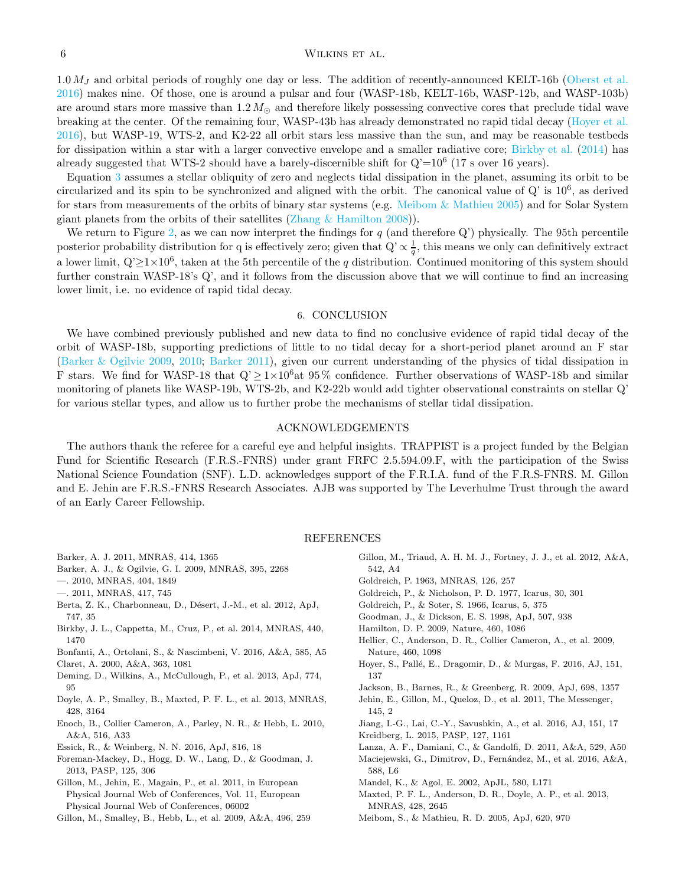## 6 WILKINS ET AL.

 $1.0 M_J$  and orbital periods of roughly one day or less. The addition of recently-announced KELT-16b [\(Oberst et al.](#page-6-15) [2016\)](#page-6-15) makes nine. Of those, one is around a pulsar and four (WASP-18b, KELT-16b, WASP-12b, and WASP-103b) are around stars more massive than  $1.2 M_{\odot}$  and therefore likely possessing convective cores that preclude tidal wave breaking at the center. Of the remaining four, WASP-43b has already demonstrated no rapid tidal decay [\(Hoyer et al.](#page-5-11) [2016\)](#page-5-11), but WASP-19, WTS-2, and K2-22 all orbit stars less massive than the sun, and may be reasonable testbeds for dissipation within a star with a larger convective envelope and a smaller radiative core; [Birkby et al.](#page-5-7) [\(2014\)](#page-5-7) has already suggested that WTS-2 should have a barely-discernible shift for  $Q'=10^6$  (17 s over 16 years).

Equation [3](#page-4-0) assumes a stellar obliquity of zero and neglects tidal dissipation in the planet, assuming its orbit to be circularized and its spin to be synchronized and aligned with the orbit. The canonical value of  $Q'$  is  $10^6$ , as derived for stars from measurements of the orbits of binary star systems (e.g. [Meibom & Mathieu 2005\)](#page-5-2) and for Solar System giant planets from the orbits of their satellites (Zhang  $\&$  Hamilton 2008)).

We return to Figure [2,](#page-3-0) as we can now interpret the findings for  $q$  (and therefore Q') physically. The 95th percentile posterior probability distribution for q is effectively zero; given that  $Q' \propto \frac{1}{q}$ , this means we only can definitively extract a lower limit,  $Q' \ge 1 \times 10^6$ , taken at the 5th percentile of the q distribution. Continued monitoring of this system should further constrain WASP-18's Q', and it follows from the discussion above that we will continue to find an increasing lower limit, i.e. no evidence of rapid tidal decay.

### 6. CONCLUSION

We have combined previously published and new data to find no conclusive evidence of rapid tidal decay of the orbit of WASP-18b, supporting predictions of little to no tidal decay for a short-period planet around an F star [\(Barker & Ogilvie 2009](#page-5-5), [2010](#page-5-8); [Barker 2011\)](#page-5-9), given our current understanding of the physics of tidal dissipation in F stars. We find for WASP-18 that  $Q' \geq 1 \times 10^6$  at 95% confidence. Further observations of WASP-18b and similar monitoring of planets like WASP-19b, WTS-2b, and K2-22b would add tighter observational constraints on stellar Q' for various stellar types, and allow us to further probe the mechanisms of stellar tidal dissipation.

## ACKNOWLEDGEMENTS

The authors thank the referee for a careful eye and helpful insights. TRAPPIST is a project funded by the Belgian Fund for Scientific Research (F.R.S.-FNRS) under grant FRFC 2.5.594.09.F, with the participation of the Swiss National Science Foundation (SNF). L.D. acknowledges support of the F.R.I.A. fund of the F.R.S-FNRS. M. Gillon and E. Jehin are F.R.S.-FNRS Research Associates. AJB was supported by The Leverhulme Trust through the award of an Early Career Fellowship.

### REFERENCES

<span id="page-5-9"></span>Barker, A. J. 2011, MNRAS, 414, 1365

<span id="page-5-5"></span>Barker, A. J., & Ogilvie, G. I. 2009, MNRAS, 395, 2268

<span id="page-5-8"></span>—. 2010, MNRAS, 404, 1849

- <span id="page-5-28"></span>—. 2011, MNRAS, 417, 745
- <span id="page-5-21"></span>Berta, Z. K., Charbonneau, D., Désert, J.-M., et al. 2012, ApJ, 747, 35
- <span id="page-5-7"></span>Birkby, J. L., Cappetta, M., Cruz, P., et al. 2014, MNRAS, 440, 1470
- <span id="page-5-3"></span>Bonfanti, A., Ortolani, S., & Nascimbeni, V. 2016, A&A, 585, A5
- <span id="page-5-22"></span>Claret, A. 2000, A&A, 363, 1081
- <span id="page-5-16"></span>Deming, D., Wilkins, A., McCullough, P., et al. 2013, ApJ, 774, 95
- <span id="page-5-30"></span>Doyle, A. P., Smalley, B., Maxted, P. F. L., et al. 2013, MNRAS, 428, 3164
- <span id="page-5-31"></span>Enoch, B., Collier Cameron, A., Parley, N. R., & Hebb, L. 2010, A&A, 516, A33
- <span id="page-5-29"></span>Essick, R., & Weinberg, N. N. 2016, ApJ, 816, 18
- <span id="page-5-23"></span>Foreman-Mackey, D., Hogg, D. W., Lang, D., & Goodman, J. 2013, PASP, 125, 306
- <span id="page-5-15"></span>Gillon, M., Jehin, E., Magain, P., et al. 2011, in European Physical Journal Web of Conferences, Vol. 11, European Physical Journal Web of Conferences, 06002
- <span id="page-5-18"></span>Gillon, M., Smalley, B., Hebb, L., et al. 2009, A&A, 496, 259
- <span id="page-5-17"></span>Gillon, M., Triaud, A. H. M. J., Fortney, J. J., et al. 2012, A&A, 542, A4
- <span id="page-5-25"></span>Goldreich, P. 1963, MNRAS, 126, 257
- <span id="page-5-26"></span>Goldreich, P., & Nicholson, P. D. 1977, Icarus, 30, 301
- <span id="page-5-1"></span>Goldreich, P., & Soter, S. 1966, Icarus, 5, 375
- <span id="page-5-27"></span>Goodman, J., & Dickson, E. S. 1998, ApJ, 507, 938
- <span id="page-5-4"></span>Hamilton, D. P. 2009, Nature, 460, 1086
- <span id="page-5-0"></span>Hellier, C., Anderson, D. R., Collier Cameron, A., et al. 2009, Nature, 460, 1098
- <span id="page-5-11"></span>Hoyer, S., Pallé, E., Dragomir, D., & Murgas, F. 2016, AJ, 151, 137
- <span id="page-5-6"></span>Jackson, B., Barnes, R., & Greenberg, R. 2009, ApJ, 698, 1357
- <span id="page-5-14"></span>Jehin, E., Gillon, M., Queloz, D., et al. 2011, The Messenger, 145, 2
- <span id="page-5-12"></span>Jiang, I.-G., Lai, C.-Y., Savushkin, A., et al. 2016, AJ, 151, 17
- <span id="page-5-20"></span>Kreidberg, L. 2015, PASP, 127, 1161
- <span id="page-5-24"></span>Lanza, A. F., Damiani, C., & Gandolfi, D. 2011, A&A, 529, A50
- <span id="page-5-10"></span>Maciejewski, G., Dimitrov, D., Fernández, M., et al. 2016, A&A, 588, L6
- <span id="page-5-19"></span>Mandel, K., & Agol, E. 2002, ApJL, 580, L171
- <span id="page-5-13"></span>Maxted, P. F. L., Anderson, D. R., Doyle, A. P., et al. 2013, MNRAS, 428, 2645
- <span id="page-5-2"></span>Meibom, S., & Mathieu, R. D. 2005, ApJ, 620, 970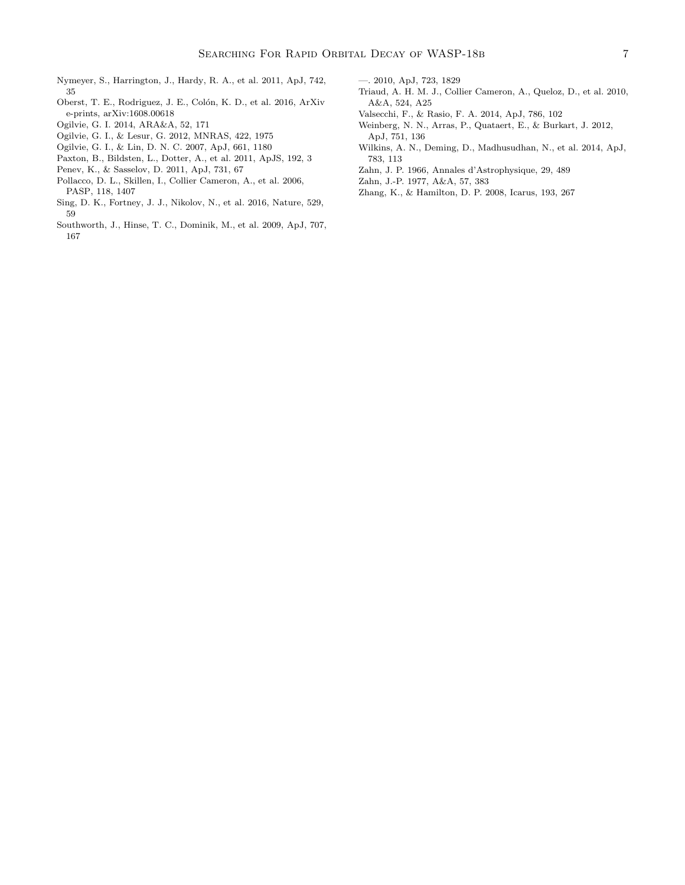- <span id="page-6-2"></span>Nymeyer, S., Harrington, J., Hardy, R. A., et al. 2011, ApJ, 742, 35
- <span id="page-6-15"></span>Oberst, T. E., Rodriguez, J. E., Colón, K. D., et al. 2016, ArXiv e-prints, arXiv:1608.00618
- <span id="page-6-7"></span>Ogilvie, G. I. 2014, ARA&A, 52, 171
- <span id="page-6-12"></span>Ogilvie, G. I., & Lesur, G. 2012, MNRAS, 422, 1975
- <span id="page-6-1"></span>Ogilvie, G. I., & Lin, D. N. C. 2007, ApJ, 661, 1180
- <span id="page-6-9"></span>Paxton, B., Bildsten, L., Dotter, A., et al. 2011, ApJS, 192, 3
- <span id="page-6-11"></span>Penev, K., & Sasselov, D. 2011, ApJ, 731, 67
- <span id="page-6-5"></span>Pollacco, D. L., Skillen, I., Collier Cameron, A., et al. 2006, PASP, 118, 1407
- <span id="page-6-3"></span>Sing, D. K., Fortney, J. J., Nikolov, N., et al. 2016, Nature, 529, 59
- <span id="page-6-0"></span>Southworth, J., Hinse, T. C., Dominik, M., et al. 2009, ApJ, 707, 167
- <span id="page-6-17"></span>Triaud, A. H. M. J., Collier Cameron, A., Queloz, D., et al. 2010, A&A, 524, A25
- <span id="page-6-14"></span>Valsecchi, F., & Rasio, F. A. 2014, ApJ, 786, 102
- <span id="page-6-13"></span>Weinberg, N. N., Arras, P., Quataert, E., & Burkart, J. 2012, ApJ, 751, 136
- <span id="page-6-4"></span>Wilkins, A. N., Deming, D., Madhusudhan, N., et al. 2014, ApJ, 783, 113
- <span id="page-6-10"></span>Zahn, J. P. 1966, Annales d'Astrophysique, 29, 489
- <span id="page-6-8"></span>Zahn, J.-P. 1977, A&A, 57, 383
- <span id="page-6-16"></span>Zhang, K., & Hamilton, D. P. 2008, Icarus, 193, 267

<span id="page-6-6"></span><sup>—. 2010,</sup> ApJ, 723, 1829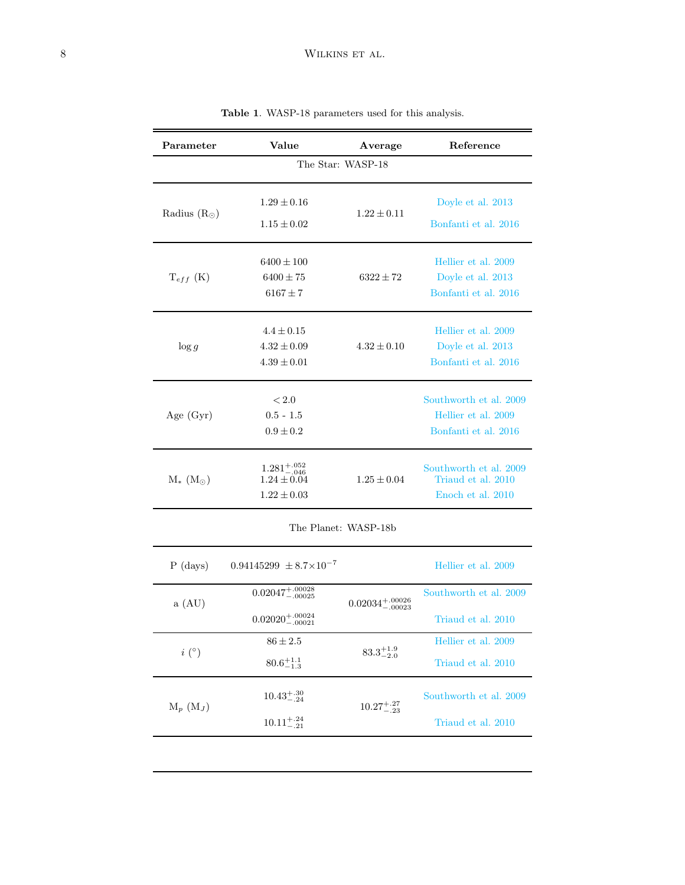<span id="page-7-1"></span><span id="page-7-0"></span>

| Parameter             | Value<br>Average                                              |                               | Reference                                                             |  |  |  |  |  |  |
|-----------------------|---------------------------------------------------------------|-------------------------------|-----------------------------------------------------------------------|--|--|--|--|--|--|
| The Star: WASP-18     |                                                               |                               |                                                                       |  |  |  |  |  |  |
| Radius $(R_{\odot})$  | $1.29 \pm 0.16$<br>$1.15 \pm 0.02$                            | $1.22 \pm 0.11$               | Doyle et al. 2013<br>Bonfanti et al. 2016                             |  |  |  |  |  |  |
| $T_{eff}$ (K)         | $6400 \pm 100$<br>$6400 \pm 75$<br>$6167\pm7$                 | $6322 \pm 72$                 | Hellier et al. 2009<br>Doyle et al. 2013<br>Bonfanti et al. 2016      |  |  |  |  |  |  |
| $\log g$              | $4.4 \pm 0.15$<br>$4.32 \pm 0.09$<br>$4.39 \pm 0.01$          | $4.32 \pm 0.10$               | Hellier et al. 2009<br>Doyle et al. 2013<br>Bonfanti et al. 2016      |  |  |  |  |  |  |
| Age $(Gyr)$           | < 2.0<br>$0.5 - 1.5$<br>$0.9 \pm 0.2$                         |                               | Southworth et al. 2009<br>Hellier et al. 2009<br>Bonfanti et al. 2016 |  |  |  |  |  |  |
| $M_{*}$ $(M_{\odot})$ | $1.281^{+.052}_{-.046}$<br>$1.24 \pm 0.04$<br>$1.22 \pm 0.03$ | $1.25 \pm 0.04$               | Southworth et al. 2009<br>Triaud et al. 2010<br>Enoch et al. 2010     |  |  |  |  |  |  |
| The Planet: WASP-18b  |                                                               |                               |                                                                       |  |  |  |  |  |  |
| $P$ (days)            | $0.94145299 \pm 8.7 \times 10^{-7}$                           |                               | Hellier et al. 2009                                                   |  |  |  |  |  |  |
| a (AU)                | $0.02047^{+.00028}_{-.00025}$                                 | $0.02034^{+.00026}_{-.00023}$ | Southworth et al. 2009                                                |  |  |  |  |  |  |
|                       | $0.02020^{+.00024}_{-.00021}$                                 |                               | Triaud et al. 2010                                                    |  |  |  |  |  |  |
| $i\ (^\circ)$         | $86 \pm 2.5$                                                  | $83.3^{+1.9}_{-2.0}$          | Hellier et al. 2009                                                   |  |  |  |  |  |  |
|                       | $80.6^{+1.1}_{-1.3}$                                          |                               | Triaud et al. 2010                                                    |  |  |  |  |  |  |
| $M_p$ $(M_J)$         | $10.43^{+.30}_{-.24}$                                         |                               | Southworth et al. 2009                                                |  |  |  |  |  |  |
|                       | $10.11^{+.24}_{-.21}$                                         | $10.27^{+.27}_{-.23}$         | Triaud et al. 2010                                                    |  |  |  |  |  |  |

Table 1. WASP-18 parameters used for this analysis.